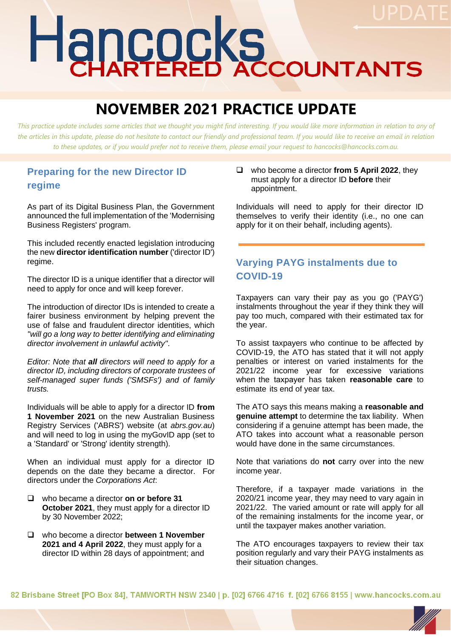# Hancocks

# **NOVEMBER 2021 PRACTICE UPDATE**

*This practice update includes some articles that we thought you might find interesting. If you would like more information in relation to any of*  the articles in this update, please do not hesitate to contact our friendly and professional team. If you would like to receive an email in relation *to these updates, or if you would prefer not to receive them, please email your request to hancocks@hancocks.com.au.* 

#### **Preparing for the new Director ID regime**

As part of its Digital Business Plan, the Government announced the full implementation of the 'Modernising Business Registers' program.

This included recently enacted legislation introducing the new **director identification number** ('director ID') regime.

The director ID is a unique identifier that a director will need to apply for once and will keep forever.

The introduction of director IDs is intended to create a fairer business environment by helping prevent the use of false and fraudulent director identities, which *"will go a long way to better identifying and eliminating director involvement in unlawful activity"*.

*Editor: Note that all directors will need to apply for a director ID, including directors of corporate trustees of self-managed super funds ('SMSFs') and of family trusts.*

Individuals will be able to apply for a director ID **from 1 November 2021** on the new Australian Business Registry Services ('ABRS') website (at *abrs.gov.au*) and will need to log in using the myGovID app (set to a 'Standard' or 'Strong' identity strength).

When an individual must apply for a director ID depends on the date they became a director. For directors under the *Corporations Act*:

- ❑ who became a director **on or before 31 October 2021**, they must apply for a director ID by 30 November 2022;
- ❑ who become a director **between 1 November 2021 and 4 April 2022**, they must apply for a director ID within 28 days of appointment; and

❑ who become a director **from 5 April 2022**, they must apply for a director ID **before** their appointment.

Individuals will need to apply for their director ID themselves to verify their identity (i.e., no one can apply for it on their behalf, including agents).

#### **Varying PAYG instalments due to COVID-19**

Taxpayers can vary their pay as you go ('PAYG') instalments throughout the year if they think they will pay too much, compared with their estimated tax for the year.

To assist taxpayers who continue to be affected by COVID-19, the ATO has stated that it will not apply penalties or interest on varied instalments for the 2021/22 income year for excessive variations when the taxpayer has taken **reasonable care** to estimate its end of year tax.

The ATO says this means making a **reasonable and genuine attempt** to determine the tax liability. When considering if a genuine attempt has been made, the ATO takes into account what a reasonable person would have done in the same circumstances.

Note that variations do **not** carry over into the new income year.

Therefore, if a taxpayer made variations in the 2020/21 income year, they may need to vary again in 2021/22. The varied amount or rate will apply for all of the remaining instalments for the income year, or until the taxpayer makes another variation.

The ATO encourages taxpayers to review their tax position regularly and vary their PAYG instalments as their situation changes.

82 Brisbane Street [PO Box 84], TAMWORTH NSW 2340 | p. [02] 6766 4716 f. [02] 6766 8155 | www.hancocks.com.au